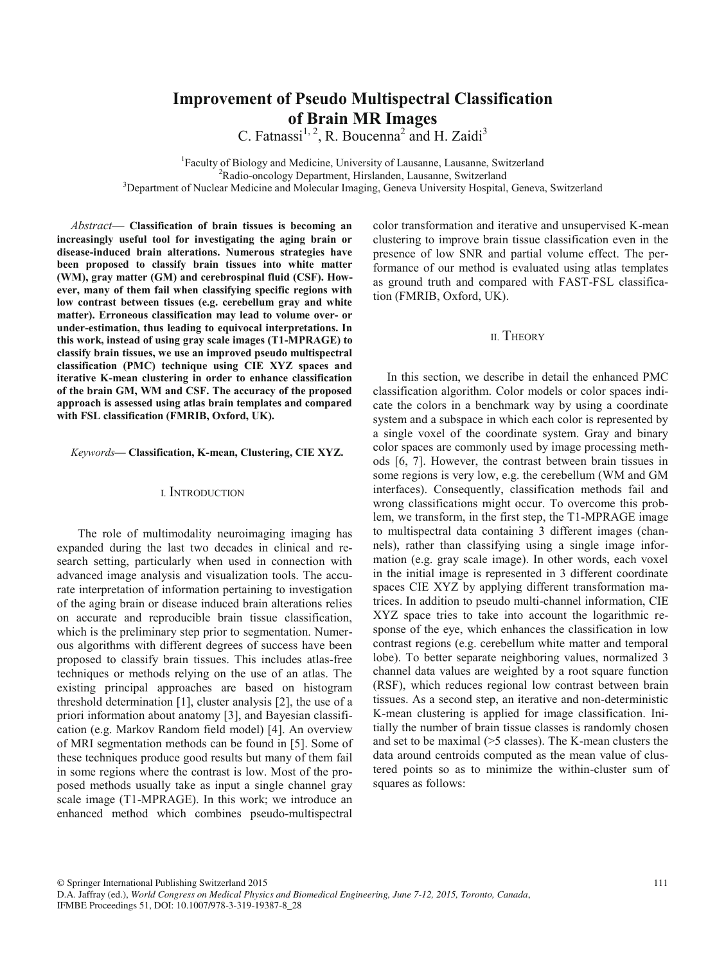# **Improvement of Pseudo Multispectral Classification of Brain MR Images**

C. Fatnassi<sup>1, 2</sup>, R. Boucenna<sup>2</sup> and H. Zaidi<sup>3</sup>

<sup>1</sup> Faculty of Biology and Medicine, University of Lausanne, Lausanne, Switzerland<br><sup>2</sup> Padio oncology Department, Hirslanden, Lausanne, Switzerland <sup>2</sup>Radio-oncology Department, Hirslanden, Lausanne, Switzerland <sup>3</sup>Department of Nuclear Medicine and Molecular Imaging, Geneva University Hospital, Geneva, Switzerland

*Abstract*— **Classification of brain tissues is becoming an increasingly useful tool for investigating the aging brain or disease-induced brain alterations. Numerous strategies have been proposed to classify brain tissues into white matter (WM), gray matter (GM) and cerebrospinal fluid (CSF). However, many of them fail when classifying specific regions with low contrast between tissues (e.g. cerebellum gray and white matter). Erroneous classification may lead to volume over- or under-estimation, thus leading to equivocal interpretations. In this work, instead of using gray scale images (T1-MPRAGE) to classify brain tissues, we use an improved pseudo multispectral classification (PMC) technique using CIE XYZ spaces and iterative K-mean clustering in order to enhance classification of the brain GM, WM and CSF. The accuracy of the proposed approach is assessed using atlas brain templates and compared with FSL classification (FMRIB, Oxford, UK).**

### *Keywords***— Classification, K-mean, Clustering, CIE XYZ.**

## I. INTRODUCTION

 The role of multimodality neuroimaging imaging has expanded during the last two decades in clinical and research setting, particularly when used in connection with advanced image analysis and visualization tools. The accurate interpretation of information pertaining to investigation of the aging brain or disease induced brain alterations relies on accurate and reproducible brain tissue classification, which is the preliminary step prior to segmentation. Numerous algorithms with different degrees of success have been proposed to classify brain tissues. This includes atlas-free techniques or methods relying on the use of an atlas. The existing principal approaches are based on histogram threshold determination [1], cluster analysis [2], the use of a priori information about anatomy [3], and Bayesian classification (e.g. Markov Random field model) [4]. An overview of MRI segmentation methods can be found in [5]. Some of these techniques produce good results but many of them fail in some regions where the contrast is low. Most of the proposed methods usually take as input a single channel gray scale image (T1-MPRAGE). In this work; we introduce an enhanced method which combines pseudo-multispectral

color transformation and iterative and unsupervised K-mean clustering to improve brain tissue classification even in the presence of low SNR and partial volume effect. The performance of our method is evaluated using atlas templates as ground truth and compared with FAST-FSL classification (FMRIB, Oxford, UK).

## II. THEORY

In this section, we describe in detail the enhanced PMC classification algorithm. Color models or color spaces indicate the colors in a benchmark way by using a coordinate system and a subspace in which each color is represented by a single voxel of the coordinate system. Gray and binary color spaces are commonly used by image processing methods [6, 7]. However, the contrast between brain tissues in some regions is very low, e.g. the cerebellum (WM and GM interfaces). Consequently, classification methods fail and wrong classifications might occur. To overcome this problem, we transform, in the first step, the T1-MPRAGE image to multispectral data containing 3 different images (channels), rather than classifying using a single image information (e.g. gray scale image). In other words, each voxel in the initial image is represented in 3 different coordinate spaces CIE XYZ by applying different transformation matrices. In addition to pseudo multi-channel information, CIE XYZ space tries to take into account the logarithmic response of the eye, which enhances the classification in low contrast regions (e.g. cerebellum white matter and temporal lobe). To better separate neighboring values, normalized 3 channel data values are weighted by a root square function (RSF), which reduces regional low contrast between brain tissues. As a second step, an iterative and non-deterministic K-mean clustering is applied for image classification. Initially the number of brain tissue classes is randomly chosen and set to be maximal (>5 classes). The K-mean clusters the data around centroids computed as the mean value of clustered points so as to minimize the within-cluster sum of squares as follows:

© Springer International Publishing Switzerland 2015

D.A. Jaffray (ed.), *World Congress on Medical Physics and Biomedical Engineering, June 7-12, 2015, Toronto, Canada*, IFMBE Proceedings 51, DOI: 10.1007/978-3-319-19387-8\_28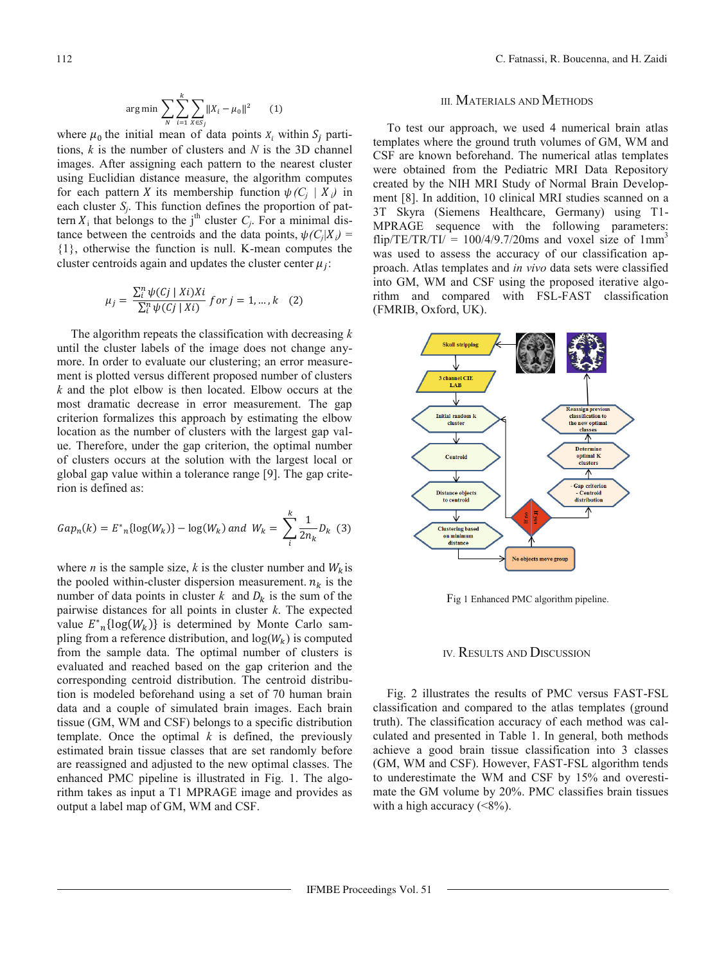$$
\arg\min \sum_{N} \sum_{i=1}^{k} \sum_{X \in S_j} \|X_i - \mu_0\|^2 \qquad (1)
$$

where  $\mu_0$  the initial mean of data points  $X_i$  within  $S_i$  partitions, *k* is the number of clusters and *N* is the 3D channel images. After assigning each pattern to the nearest cluster using Euclidian distance measure, the algorithm computes for each pattern X its membership function  $\psi(C_i | X_i)$  in each cluster  $S_i$ . This function defines the proportion of pattern  $X_i$  that belongs to the j<sup>th</sup> cluster  $C_i$ . For a minimal distance between the centroids and the data points,  $\psi(C_i|X_i)$  = {1}, otherwise the function is null. K-mean computes the cluster centroids again and updates the cluster center  $\mu_i$ :

$$
\mu_j = \frac{\sum_{i}^{n} \psi(cj \mid Xi)Xi}{\sum_{i}^{n} \psi(cj \mid Xi)} \text{ for } j = 1, \dots, k \quad (2)
$$

The algorithm repeats the classification with decreasing *k* until the cluster labels of the image does not change anymore. In order to evaluate our clustering; an error measurement is plotted versus different proposed number of clusters *k* and the plot elbow is then located. Elbow occurs at the most dramatic decrease in error measurement. The gap criterion formalizes this approach by estimating the elbow location as the number of clusters with the largest gap value. Therefore, under the gap criterion, the optimal number of clusters occurs at the solution with the largest local or global gap value within a tolerance range [9]. The gap criterion is defined as:

$$
Gap_n(k) = E_{n}^{*}\{log(W_k)\} - log(W_k) \text{ and } W_k = \sum_{i=1}^{k} \frac{1}{2n_k} D_k \tag{3}
$$

where *n* is the sample size, *k* is the cluster number and  $W_k$  is the pooled within-cluster dispersion measurement.  $n_k$  is the number of data points in cluster  $k$  and  $D_k$  is the sum of the pairwise distances for all points in cluster *k*. The expected value  $E^*_{n}$ {log( $W_k$ )} is determined by Monte Carlo sampling from a reference distribution, and  $log(W_k)$  is computed from the sample data. The optimal number of clusters is evaluated and reached based on the gap criterion and the corresponding centroid distribution. The centroid distribution is modeled beforehand using a set of 70 human brain data and a couple of simulated brain images. Each brain tissue (GM, WM and CSF) belongs to a specific distribution template. Once the optimal  $k$  is defined, the previously estimated brain tissue classes that are set randomly before are reassigned and adjusted to the new optimal classes. The enhanced PMC pipeline is illustrated in Fig. 1. The algorithm takes as input a T1 MPRAGE image and provides as output a label map of GM, WM and CSF.

## III. MATERIALS AND METHODS

To test our approach, we used 4 numerical brain atlas templates where the ground truth volumes of GM, WM and CSF are known beforehand. The numerical atlas templates were obtained from the Pediatric MRI Data Repository created by the NIH MRI Study of Normal Brain Development [8]. In addition, 10 clinical MRI studies scanned on a 3T Skyra (Siemens Healthcare, Germany) using T1- MPRAGE sequence with the following parameters: flip/TE/TR/TI/ =  $100/4/9.7/20$ ms and voxel size of  $1mm<sup>3</sup>$ was used to assess the accuracy of our classification approach. Atlas templates and *in vivo* data sets were classified into GM, WM and CSF using the proposed iterative algorithm and compared with FSL-FAST classification (FMRIB, Oxford, UK).



Fig 1 Enhanced PMC algorithm pipeline.

## IV. RESULTS AND DISCUSSION

Fig. 2 illustrates the results of PMC versus FAST-FSL classification and compared to the atlas templates (ground truth). The classification accuracy of each method was calculated and presented in Table 1. In general, both methods achieve a good brain tissue classification into 3 classes (GM, WM and CSF). However, FAST-FSL algorithm tends to underestimate the WM and CSF by 15% and overestimate the GM volume by 20%. PMC classifies brain tissues with a high accuracy  $(\leq 8\%)$ .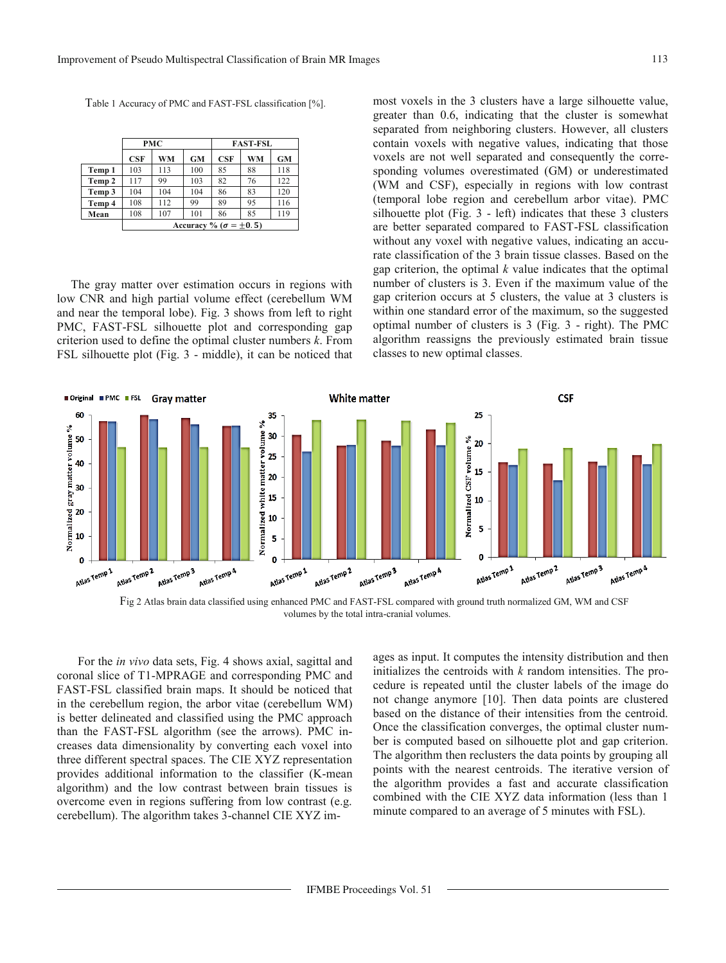Table 1 Accuracy of PMC and FAST-FSL classification [%].

|        | <b>PMC</b>                        |     |           | <b>FAST-FSL</b> |           |     |
|--------|-----------------------------------|-----|-----------|-----------------|-----------|-----|
|        | CSF                               | WM  | <b>GM</b> | CSF             | <b>WM</b> | GM  |
| Temp 1 | 103                               | 113 | 100       | 85              | 88        | 118 |
| Temp 2 | 117                               | 99  | 103       | 82              | 76        | 122 |
| Temp 3 | 104                               | 104 | 104       | 86              | 83        | 120 |
| Temp 4 | 108                               | 112 | 99        | 89              | 95        | 116 |
| Mean   | 108                               | 107 | 101       | 86              | 85        | 119 |
|        | Accuracy % ( $\sigma = \pm 0.5$ ) |     |           |                 |           |     |

The gray matter over estimation occurs in regions with low CNR and high partial volume effect (cerebellum WM and near the temporal lobe). Fig. 3 shows from left to right PMC, FAST-FSL silhouette plot and corresponding gap criterion used to define the optimal cluster numbers *k*. From FSL silhouette plot (Fig. 3 - middle), it can be noticed that most voxels in the 3 clusters have a large silhouette value, greater than 0.6, indicating that the cluster is somewhat separated from neighboring clusters. However, all clusters contain voxels with negative values, indicating that those voxels are not well separated and consequently the corresponding volumes overestimated (GM) or underestimated (WM and CSF), especially in regions with low contrast (temporal lobe region and cerebellum arbor vitae). PMC silhouette plot (Fig. 3 - left) indicates that these 3 clusters are better separated compared to FAST-FSL classification without any voxel with negative values, indicating an accurate classification of the 3 brain tissue classes. Based on the gap criterion, the optimal *k* value indicates that the optimal number of clusters is 3. Even if the maximum value of the gap criterion occurs at 5 clusters, the value at 3 clusters is within one standard error of the maximum, so the suggested optimal number of clusters is 3 (Fig. 3 - right). The PMC algorithm reassigns the previously estimated brain tissue classes to new optimal classes.



Fig 2 Atlas brain data classified using enhanced PMC and FAST-FSL compared with ground truth normalized GM, WM and CSF volumes by the total intra-cranial volumes.

For the *in vivo* data sets, Fig. 4 shows axial, sagittal and coronal slice of T1-MPRAGE and corresponding PMC and FAST-FSL classified brain maps. It should be noticed that in the cerebellum region, the arbor vitae (cerebellum WM) is better delineated and classified using the PMC approach than the FAST-FSL algorithm (see the arrows). PMC increases data dimensionality by converting each voxel into three different spectral spaces. The CIE XYZ representation provides additional information to the classifier (K-mean algorithm) and the low contrast between brain tissues is overcome even in regions suffering from low contrast (e.g. cerebellum). The algorithm takes 3-channel CIE XYZ images as input. It computes the intensity distribution and then initializes the centroids with *k* random intensities. The procedure is repeated until the cluster labels of the image do not change anymore [10]. Then data points are clustered based on the distance of their intensities from the centroid. Once the classification converges, the optimal cluster number is computed based on silhouette plot and gap criterion. The algorithm then reclusters the data points by grouping all points with the nearest centroids. The iterative version of the algorithm provides a fast and accurate classification combined with the CIE XYZ data information (less than 1 minute compared to an average of 5 minutes with FSL).